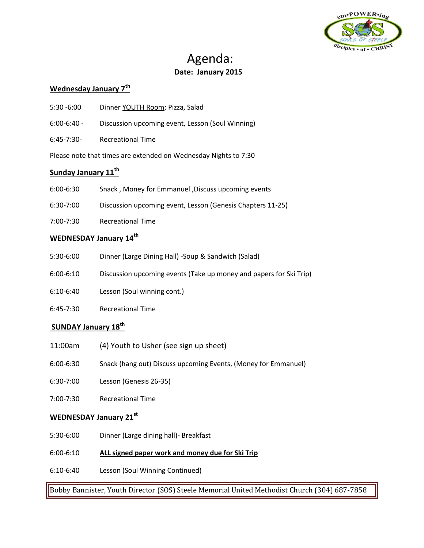

# Agenda: **Date: January 2015**

# **Wednesday January 7th**

- 5:30 -6:00 Dinner YOUTH Room: Pizza, Salad
- 6:00-6:40 Discussion upcoming event, Lesson (Soul Winning)
- 6:45-7:30- Recreational Time

Please note that times are extended on Wednesday Nights to 7:30

# **Sunday January 11th**

- 6:00-6:30 Snack , Money for Emmanuel ,Discuss upcoming events
- 6:30-7:00 Discussion upcoming event, Lesson (Genesis Chapters 11-25)
- 7:00-7:30 Recreational Time

# **WEDNESDAY January 14th**

- 5:30-6:00 Dinner (Large Dining Hall) -Soup & Sandwich (Salad)
- 6:00-6:10 Discussion upcoming events (Take up money and papers for Ski Trip)
- 6:10-6:40 Lesson (Soul winning cont.)
- 6:45-7:30 Recreational Time

#### **SUNDAY January 18th**

- 11:00am (4) Youth to Usher (see sign up sheet)
- 6:00-6:30 Snack (hang out) Discuss upcoming Events, (Money for Emmanuel)
- 6:30-7:00 Lesson (Genesis 26-35)
- 7:00-7:30 Recreational Time

#### **WEDNESDAY January 21st**

- 5:30-6:00 Dinner (Large dining hall)- Breakfast
- 6:00-6:10 **ALL signed paper work and money due for Ski Trip**
- 6:10-6:40 Lesson (Soul Winning Continued)

Bobby Bannister, Youth Director (SOS) Steele Memorial United Methodist Church (304) 687-7858